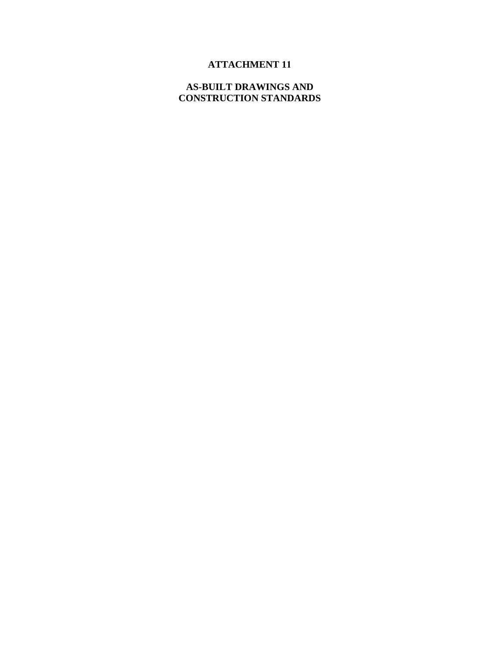# **ATTACHMENT 11**

#### **AS-BUILT DRAWINGS AND CONSTRUCTION STANDARDS**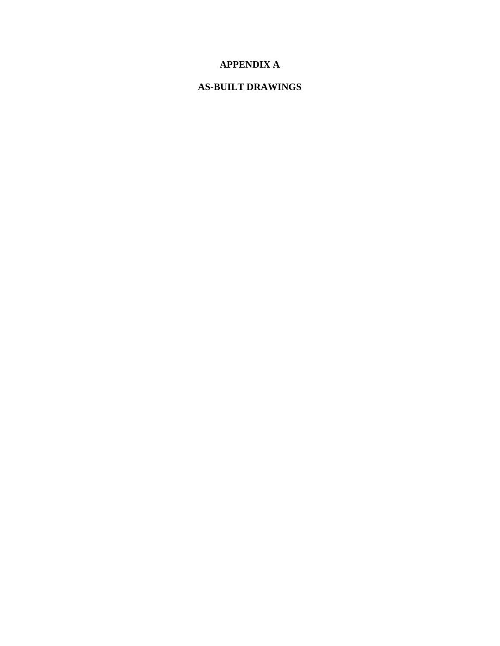## **APPENDIX A**

### **AS-BUILT DRAWINGS**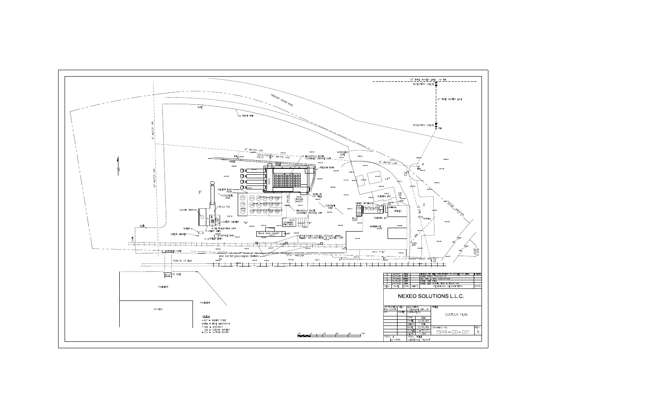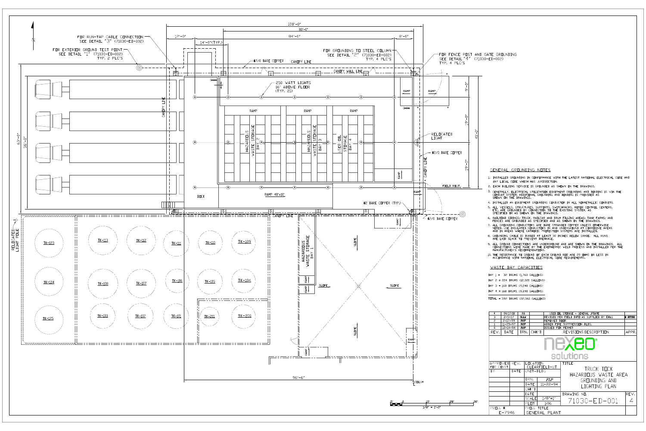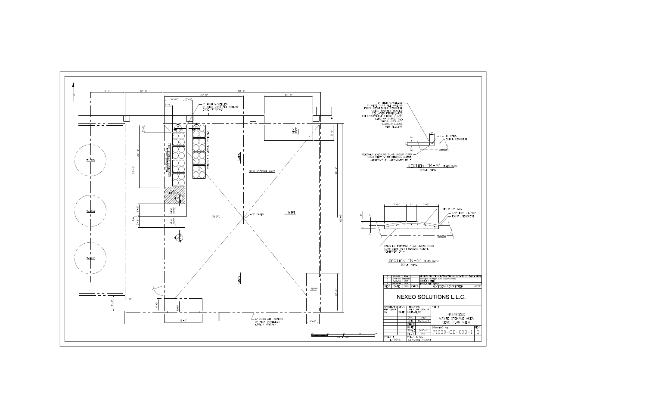

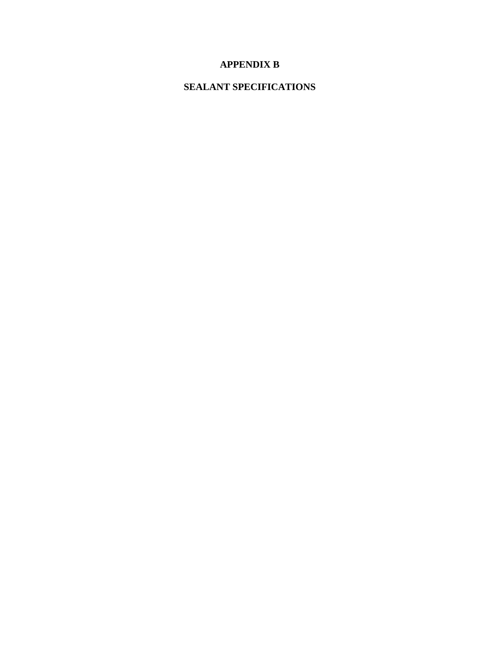## **APPENDIX B**

## **SEALANT SPECIFICATIONS**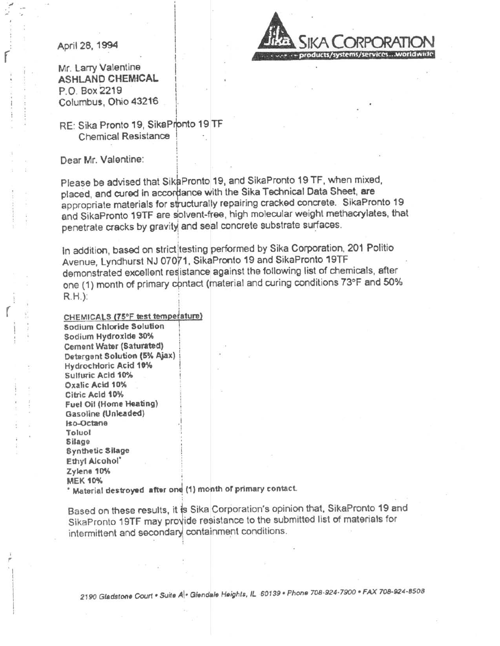April 28, 1994



Mr. Larry Valentine **ASHLAND CHEMICAL** P.O. Box 2219 Columbus, Ohio 43216

#### RE: Sika Pronto 19, SikaPronto 19 TF Chemical Resistance

#### Dear Mr. Valentine:

Please be advised that SikaPronto 19, and SikaPronto 19 TF, when mixed, placed, and cured in accordance with the Sika Technical Data Sheet, are appropriate materials for structurally repairing cracked concrete. SikaPronto 19 and SikaPronto 19TF are solvent-free, high molecular weight methacrylates, that penetrate cracks by gravity and seal concrete substrate surfaces.

In addition, based on strict testing performed by Sika Corporation, 201 Politio Avenue, Lyndhurst NJ 07071, SikaPronto 19 and SikaPronto 19TF demonstrated excellent resistance against the following list of chemicals, after one (1) month of primary contact (material and curing conditions 73°F and 50%  $R.H.$ ):

#### CHEMICALS (75°F test temperature)

Sodium Chloride Solution Sodium Hydroxide 30% Cement Water (Saturated) Detergent Solution (5% Ajax) Hydrochloric Acid 10% Sulfuric Acid 10% Oxalic Acid 10% Citric Acid 10% Fuel Oil (Home Heating) Gasoline (Unleaded) Iso-Octane Toluol Silage **Synthetic Silage** Ethyl Alcohol' Zylene 10% **MEK 10%** Material destroyed after one (1) month of primary contact.

Based on these results, it is Sika Corporation's opinion that, SikaPronto 19 and SikaPronto 19TF may provide resistance to the submitted list of materials for intermittent and secondary containment conditions.

2190 Gladstone Court . Suite A . Glendale Heights, IL 60139 . Phone 708-924-7900 . FAX 708-924-8508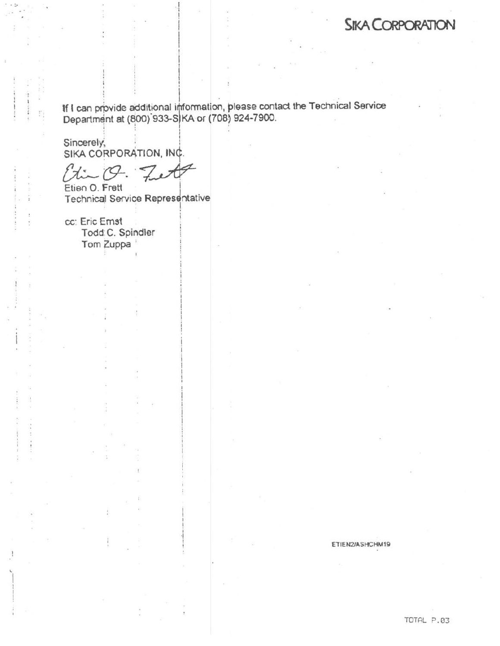# **SIKA CORPORATION**

If I can provide additional information, please contact the Technical Service<br>Department at (800) 933-S|KA or (708) 924-7900.

Sincerely, SIKA CORPORATION, INC.

 $9x - 19$ .

Etien O. Frett **Technical Service Representative** 

cc: Eric Emst Todd: C. Spindler Tom Zuppa

ETIEN2/ASHCHM19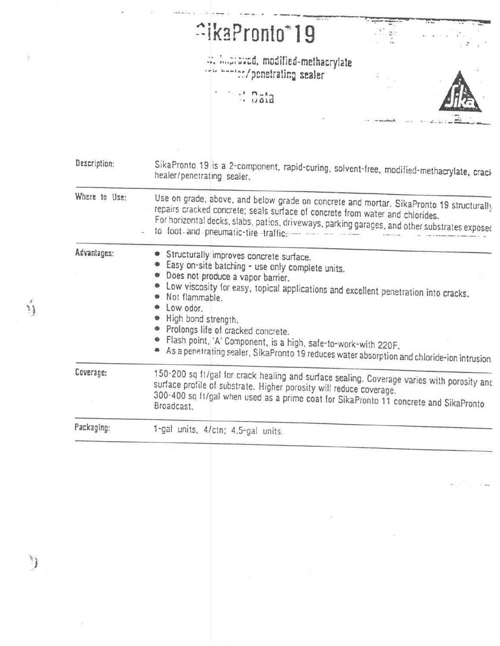|               | <b><u>aikaPronto</u></b> <sup>®</sup> 19                                                                                                                                                                                                                                                                         |  |
|---------------|------------------------------------------------------------------------------------------------------------------------------------------------------------------------------------------------------------------------------------------------------------------------------------------------------------------|--|
|               | improved, modified-methacrylate<br>which have the contracting sealer                                                                                                                                                                                                                                             |  |
|               | <b>Contracta</b>                                                                                                                                                                                                                                                                                                 |  |
|               |                                                                                                                                                                                                                                                                                                                  |  |
|               |                                                                                                                                                                                                                                                                                                                  |  |
| Description:  | SikaPronto 19 is a 2-component, rapid-curing, solvent-free, modified-methacrylate, crack<br>healer/penetrating sealer.                                                                                                                                                                                           |  |
| Where to Use: | Use on grade, above, and below grade on concrete and mortar. SikaPronto 19 structurally<br>repairs cracked concrete; seals surface of concrete from water and chlorides.<br>For horizontal decks, slabs, patios, driveways, parking garages, and other substrates exposed<br>to foot-and pneumatic-tire traffic- |  |
| Advantages:   | Structurally improves concrete surface.<br>Easy on-site batching - use only complete units.<br>Does not produce a vapor barrier.<br>Low viscosity for easy, topical applications and excellent penetration into cracks.                                                                                          |  |
|               | Not flammable.<br>Low odor.<br>High bond strength.<br>· Prolongs life of cracked concrete.<br>Flash point, 'A' Component, is a high, safe-to-work-with 220F.<br>As a penetrating sealer, SikaPronto 19 reduces water absorption and chloride-ion intrusion.                                                      |  |
| Coverage:     | 150-200 sq ft/gal for crack healing and surface sealing. Coverage varies with porosity and<br>surface profile of substrate. Higher porosity will reduce coverage.<br>300-400 sq ft/gal when used as a prime coat for SikaPronto 11 concrete and SikaPronto<br>Broadcast.                                         |  |
|               |                                                                                                                                                                                                                                                                                                                  |  |

 $\mathcal{L}_{\mathcal{S}}$  . The set of  $\mathcal{S}$ 

 $\sim$ 

 $\frac{1}{\lambda_{1}}$